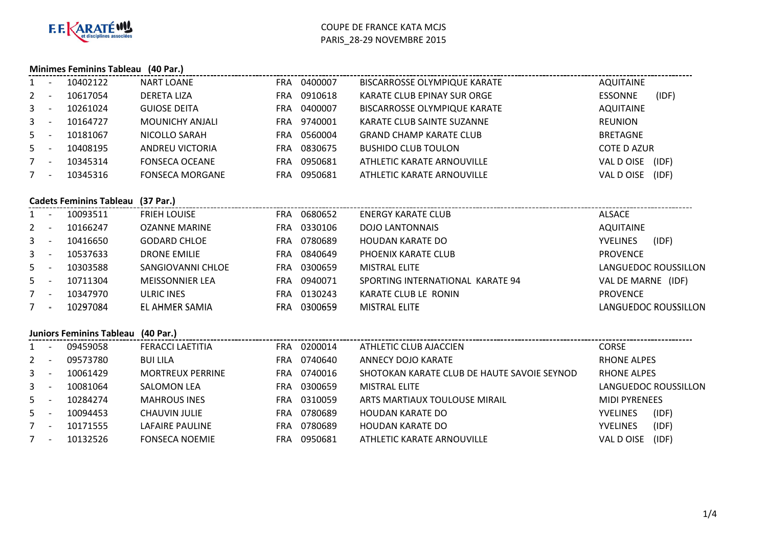

### **Minimes Feminins Tableau (40 Par.)**

| 1           |            | 10402122                                 | <b>NART LOANE</b>       | FRA 0400007 | BISCARROSSE OLYMPIQUE KARATE                | AQUITAINE            |                      |
|-------------|------------|------------------------------------------|-------------------------|-------------|---------------------------------------------|----------------------|----------------------|
| $2^{\circ}$ | $\sim$ $-$ | 10617054                                 | <b>DERETA LIZA</b>      | FRA 0910618 | KARATE CLUB EPINAY SUR ORGE                 | ESSONNE              | (IDF)                |
| $3 - 1$     |            | 10261024                                 | <b>GUIOSE DEITA</b>     | FRA 0400007 | <b>BISCARROSSE OLYMPIQUE KARATE</b>         | <b>AQUITAINE</b>     |                      |
| $3 - 1$     |            | 10164727                                 | MOUNICHY ANJALI         | FRA 9740001 | KARATE CLUB SAINTE SUZANNE                  | <b>REUNION</b>       |                      |
| $5 -$       |            | 10181067                                 | NICOLLO SARAH           | FRA 0560004 | <b>GRAND CHAMP KARATE CLUB</b>              | <b>BRETAGNE</b>      |                      |
| $5 -$       |            | 10408195                                 | <b>ANDREU VICTORIA</b>  | FRA 0830675 | <b>BUSHIDO CLUB TOULON</b>                  | <b>COTE D AZUR</b>   |                      |
| $7 -$       |            | 10345314                                 | <b>FONSECA OCEANE</b>   | FRA 0950681 | ATHLETIC KARATE ARNOUVILLE                  | VAL D OISE (IDF)     |                      |
| $7 -$       |            | 10345316                                 | <b>FONSECA MORGANE</b>  | FRA 0950681 | ATHLETIC KARATE ARNOUVILLE                  | VAL D OISE (IDF)     |                      |
|             |            | <b>Cadets Feminins Tableau (37 Par.)</b> |                         |             |                                             |                      |                      |
| $1 -$       |            | 10093511                                 | <b>FRIEH LOUISE</b>     | FRA 0680652 | <b>ENERGY KARATE CLUB</b>                   | <b>ALSACE</b>        |                      |
| $2 -$       |            | 10166247                                 | OZANNE MARINE           | FRA 0330106 | <b>DOJO LANTONNAIS</b>                      | <b>AQUITAINE</b>     |                      |
| $3 - -$     |            | 10416650                                 | <b>GODARD CHLOE</b>     | FRA 0780689 | <b>HOUDAN KARATE DO</b>                     | YVELINES             | (IDF)                |
| $3 - -$     |            | 10537633                                 | <b>DRONE EMILIE</b>     | FRA 0840649 | PHOENIX KARATE CLUB                         | <b>PROVENCE</b>      |                      |
| $5 -$       |            | 10303588                                 | SANGIOVANNI CHLOE       | FRA 0300659 | <b>MISTRAL ELITE</b>                        |                      | LANGUEDOC ROUSSILLON |
| $5 -$       |            | 10711304                                 | <b>MEISSONNIER LEA</b>  | FRA 0940071 | SPORTING INTERNATIONAL KARATE 94            | VAL DE MARNE (IDF)   |                      |
| $7 -$       |            | 10347970                                 | ULRIC INES              | FRA 0130243 | KARATE CLUB LE RONIN                        | <b>PROVENCE</b>      |                      |
| $7 -$       |            | 10297084                                 | EL AHMER SAMIA          | FRA 0300659 | <b>MISTRAL ELITE</b>                        |                      | LANGUEDOC ROUSSILLON |
|             |            | Juniors Feminins Tableau (40 Par.)       |                         |             |                                             |                      |                      |
| $1 -$       |            | 09459058                                 | <b>FERACCI LAETITIA</b> | FRA 0200014 | ATHLETIC CLUB AJACCIEN                      | <b>CORSE</b>         |                      |
| $2 -$       |            | 09573780                                 | <b>BUI LILA</b>         | FRA 0740640 | <b>ANNECY DOJO KARATE</b>                   | <b>RHONE ALPES</b>   |                      |
| $3 - 1$     |            | 10061429                                 | <b>MORTREUX PERRINE</b> | FRA 0740016 | SHOTOKAN KARATE CLUB DE HAUTE SAVOIE SEYNOD | <b>RHONE ALPES</b>   |                      |
| $3 - 1$     |            | 10081064                                 | SALOMON LEA             | FRA 0300659 | <b>MISTRAL ELITE</b>                        |                      | LANGUEDOC ROUSSILLON |
| $5 -$       |            | 10284274                                 | <b>MAHROUS INES</b>     | FRA 0310059 | ARTS MARTIAUX TOULOUSE MIRAIL               | <b>MIDI PYRENEES</b> |                      |
| $5 -$       |            | 10094453                                 | <b>CHAUVIN JULIE</b>    | FRA 0780689 | <b>HOUDAN KARATE DO</b>                     | <b>YVELINES</b>      | (IDF)                |

5 - 10094453 CHAUVINJULIE FRA <sup>0780689</sup> HOUDAN KARATE DO YVELINES (IDF) 7 - <sup>10171555</sup> LAFAIRE PAULINE FRAFRA 0780689 HOUDAN KARATE DO<br>FRA 0950681 ATHLETIC KARATE ARI YVELINES (IDF)<br>VAL D OISE (IDF) 7 - 10132526 FONSECA NOEMIE ATHLETIC KARATE ARNOUVILLE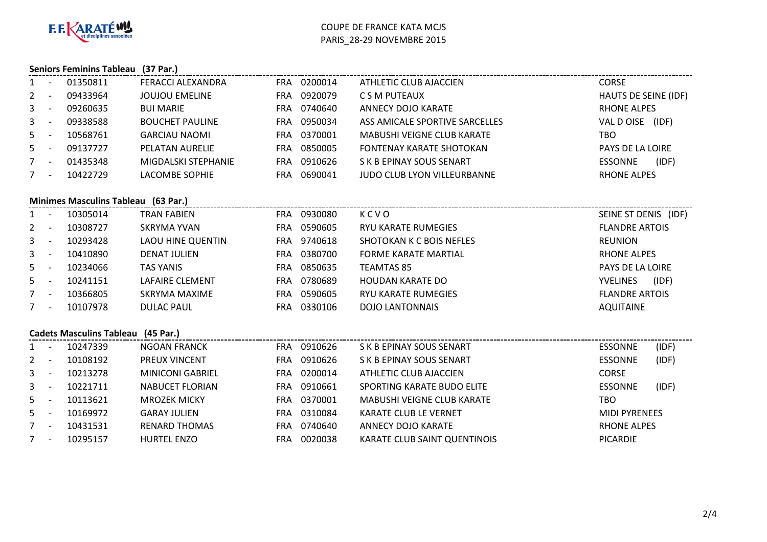

# **Seniors Feminins Tableau (37 Par.)**

| $1 -$          |            | 01350811                                  | FERACCI ALEXANDRA        | FRA 0200014 | ATHLETIC CLUB AJACCIEN            | <b>CORSE</b>          |                    |  |
|----------------|------------|-------------------------------------------|--------------------------|-------------|-----------------------------------|-----------------------|--------------------|--|
| $2 -$          |            | 09433964                                  | <b>JOUJOU EMELINE</b>    | FRA 0920079 | C S M PUTEAUX                     | HAUTS DE SEINE (IDF)  |                    |  |
| $3 - 1$        |            | 09260635                                  | <b>BUI MARIE</b>         | FRA 0740640 | <b>ANNECY DOJO KARATE</b>         | <b>RHONE ALPES</b>    |                    |  |
|                | $3 - 1$    | 09338588                                  | <b>BOUCHET PAULINE</b>   | FRA 0950034 | ASS AMICALE SPORTIVE SARCELLES    | VAL D OISE (IDF)      |                    |  |
| $5 -$          |            | 10568761                                  | <b>GARCIAU NAOMI</b>     | FRA 0370001 | <b>MABUSHI VEIGNE CLUB KARATE</b> | <b>TBO</b>            |                    |  |
| $5 -$          |            | 09137727                                  | PELATAN AURELIE          | FRA 0850005 | FONTENAY KARATE SHOTOKAN          | PAYS DE LA LOIRE      |                    |  |
| $7 -$          |            | 01435348                                  | MIGDALSKI STEPHANIE      | FRA 0910626 | S K B EPINAY SOUS SENART          | ESSONNE               | (IDF)              |  |
| $7 -$          |            | 10422729                                  | LACOMBE SOPHIE           | FRA 0690041 | JUDO CLUB LYON VILLEURBANNE       |                       | <b>RHONE ALPES</b> |  |
|                |            | Minimes Masculins Tableau (63 Par.)       |                          |             |                                   |                       |                    |  |
|                | $1 -$      | 10305014                                  | TRAN FABIEN              | FRA 0930080 | KCVO                              | SEINE ST DENIS (IDF)  |                    |  |
|                | $2 -$      | 10308727                                  | SKRYMA YVAN              | FRA 0590605 | RYU KARATE RUMEGIES               | <b>FLANDRE ARTOIS</b> |                    |  |
|                | $3 - 1$    | 10293428                                  | <b>LAOU HINE QUENTIN</b> | FRA 9740618 | SHOTOKAN K C BOIS NEFLES          | <b>REUNION</b>        |                    |  |
|                | $3 - -$    | 10410890                                  | <b>DENAT JULIEN</b>      | FRA 0380700 | <b>FORME KARATE MARTIAL</b>       |                       | <b>RHONE ALPES</b> |  |
|                | $5 -$      | 10234066                                  | <b>TAS YANIS</b>         | FRA 0850635 | <b>TEAMTAS 85</b>                 | PAYS DE LA LOIRE      |                    |  |
| $5 -$          |            | 10241151                                  | LAFAIRE CLEMENT          | FRA 0780689 | <b>HOUDAN KARATE DO</b>           | YVELINES              | (IDF)              |  |
| $7 -$          |            | 10366805                                  | <b>SKRYMA MAXIME</b>     | FRA 0590605 | <b>RYU KARATE RUMEGIES</b>        | <b>FLANDRE ARTOIS</b> |                    |  |
| $7 -$          |            | 10107978                                  | <b>DULAC PAUL</b>        | FRA 0330106 | <b>DOJO LANTONNAIS</b>            | <b>AQUITAINE</b>      |                    |  |
|                |            | <b>Cadets Masculins Tableau (45 Par.)</b> |                          |             |                                   |                       |                    |  |
|                | $1 -$      | 10247339                                  | <b>NGOAN FRANCK</b>      | FRA 0910626 | S K B EPINAY SOUS SENART          | <b>ESSONNE</b>        | (IDF)              |  |
| $2 -$          |            | 10108192                                  | PREUX VINCENT            | FRA 0910626 | S K B EPINAY SOUS SENART          | <b>ESSONNE</b>        | (IDF)              |  |
|                | $3 - 1$    | 10213278                                  | <b>MINICONI GABRIEL</b>  | FRA 0200014 | ATHLETIC CLUB AJACCIEN            | <b>CORSE</b>          |                    |  |
|                | $3 - -$    | 10221711                                  | <b>NABUCET FLORIAN</b>   | FRA 0910661 | SPORTING KARATE BUDO ELITE        | <b>ESSONNE</b>        | (IDF)              |  |
| 5 <sup>5</sup> | $\sim$ $-$ | 10113621                                  | <b>MROZEK MICKY</b>      | FRA 0370001 | <b>MABUSHI VEIGNE CLUB KARATE</b> | <b>TBO</b>            |                    |  |
| $5 -$          |            | 10169972                                  | <b>GARAY JULIEN</b>      | FRA 0310084 | KARATE CLUB LE VERNET             | <b>MIDI PYRENEES</b>  |                    |  |
| $7 -$          |            | 10431531                                  | <b>RENARD THOMAS</b>     | FRA 0740640 | <b>ANNECY DOJO KARATE</b>         | <b>RHONE ALPES</b>    |                    |  |
|                | $7 -$      | 10295157                                  | <b>HURTEL ENZO</b>       | FRA 0020038 | KARATE CLUB SAINT QUENTINOIS      | <b>PICARDIE</b>       |                    |  |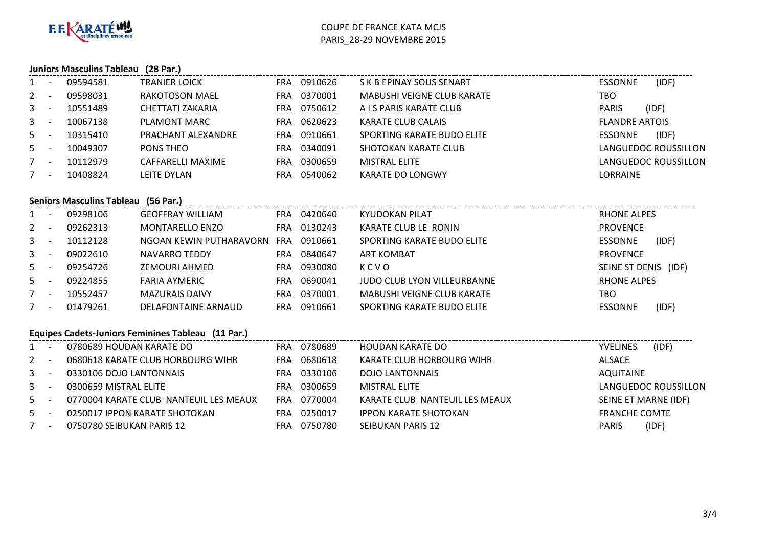

### **Juniors Masculins Tableau (28 Par.)**

| $1 -$   |                          | 09594581                         | <b>TRANIER LOICK</b>    | FRA 0910626           | S K B EPINAY SOUS SENART          | (IDF)<br><b>ESSONNE</b> |
|---------|--------------------------|----------------------------------|-------------------------|-----------------------|-----------------------------------|-------------------------|
| $2 -$   |                          | 09598031                         | RAKOTOSON MAEL          | 0370001<br>FRA        | <b>MABUSHI VEIGNE CLUB KARATE</b> | тво                     |
| $3 - 5$ |                          | 10551489                         | CHETTATI ZAKARIA        | 0750612<br>FRA        | A I S PARIS KARATE CLUB           | (IDF)<br><b>PARIS</b>   |
| $3 -$   |                          | 10067138                         | PLAMONT MARC            | 0620623<br>FRA.       | KARATE CLUB CALAIS                | <b>FLANDRE ARTOIS</b>   |
| $5 -$   |                          | 10315410                         | PRACHANT ALEXANDRE      | 0910661<br>FRA        | SPORTING KARATE BUDO ELITE        | (IDF)<br><b>ESSONNE</b> |
| $5 -$   |                          | 10049307                         | PONS THEO               | 0340091<br>FRA        | SHOTOKAN KARATE CLUB              | LANGUEDOC ROUSSILLON    |
| $7 -$   |                          | 10112979                         | CAFFARELLI MAXIME       | 0300659<br>FRA.       | <b>MISTRAL ELITE</b>              | LANGUEDOC ROUSSILLON    |
| $7 -$   |                          | 10408824                         | LEITE DYLAN             | 0540062<br>FRA        | KARATE DO LONGWY                  | <b>LORRAINE</b>         |
|         |                          | <b>Seniors Masculins Tableau</b> | (56 Par.)               |                       |                                   |                         |
|         |                          | 09298106                         | <b>GEOFFRAY WILLIAM</b> | 0420640<br><b>FRA</b> | KYUDOKAN PILAT                    | RHONE ALPES             |
|         | $\overline{\phantom{a}}$ | 09262313                         | <b>MONTARELLO ENZO</b>  | 0130243<br>FRA.       | KARATE CLUB LE RONIN              | <b>PROVENCE</b>         |

| $2 -$ | 09262313 | MONTARELLO ENZO         |            | FRA 0130243 | KARATE CLUB LE RONIN              | <b>PROVENCE</b>      |       |
|-------|----------|-------------------------|------------|-------------|-----------------------------------|----------------------|-------|
| $3 -$ | 10112128 | NGOAN KEWIN PUTHARAVORN | <b>FRA</b> | 0910661     | SPORTING KARATE BUDO ELITE        | <b>ESSONNE</b>       | (IDF) |
| $3 -$ | 09022610 | NAVARRO TEDDY           | FRA.       | 0840647     | ART KOMBAT                        | <b>PROVENCE</b>      |       |
| $5 -$ | 09254726 | ZEMOURI AHMED           | FRA        | 0930080     | KCVO                              | SEINE ST DENIS (IDF) |       |
| $5 -$ | 09224855 | <b>FARIA AYMERIC</b>    | FRA        | 0690041     | JUDO CLUB LYON VILLEURBANNE       | <b>RHONE ALPES</b>   |       |
| $7 -$ | 10552457 | <b>MAZURAIS DAIVY</b>   | FRA        | 0370001     | <b>MABUSHI VEIGNE CLUB KARATE</b> | тво                  |       |
| $7 -$ | 01479261 | DELAFONTAINE ARNAUD     | FRA        | 0910661     | SPORTING KARATE BUDO ELITE        | <b>ESSONNE</b>       | (IDF) |

## **Equipes Cadets-Juniors Feminines Tableau (11 Par.)**

|       | 0780689 HOUDAN KARATE DO               | FRA | 0780689 | HOUDAN KARATE DO               | (IDF)<br><b>YVELINES</b> |
|-------|----------------------------------------|-----|---------|--------------------------------|--------------------------|
| $2 -$ | 0680618 KARATE CLUB HORBOURG WIHR      | FRA | 0680618 | KARATE CLUB HORBOURG WIHR      | ALSACE                   |
| $3 -$ | 0330106 DOJO LANTONNAIS                | FRA | 0330106 | <b>DOJO LANTONNAIS</b>         | AQUITAINE                |
| $3 -$ | 0300659 MISTRAL ELITE                  | FRA | 0300659 | MISTRAL ELITE                  | LANGUEDOC ROUSSILLON     |
| $5 -$ | 0770004 KARATE CLUB NANTEUIL LES MEAUX | FRA | 0770004 | KARATE CLUB NANTEUIL LES MEAUX | SEINE ET MARNE (IDF)     |
| $5 -$ | 0250017 IPPON KARATE SHOTOKAN          | FRA | 0250017 | <b>IPPON KARATE SHOTOKAN</b>   | <b>FRANCHE COMTE</b>     |
| $7 -$ | 0750780 SEIBUKAN PARIS 12              | FRA | 0750780 | SEIBUKAN PARIS 12              | (IDF)<br><b>PARIS</b>    |